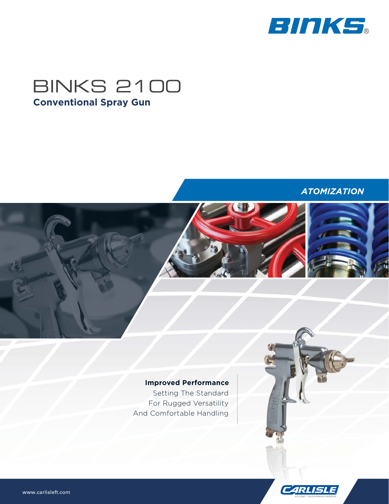

# BINKS 2100 **Conventional Spray Gun**

### *ATOMIZATION*

# **Improved Performance**

Setting The Standard For Rugged Versatility And Comfortable Handling

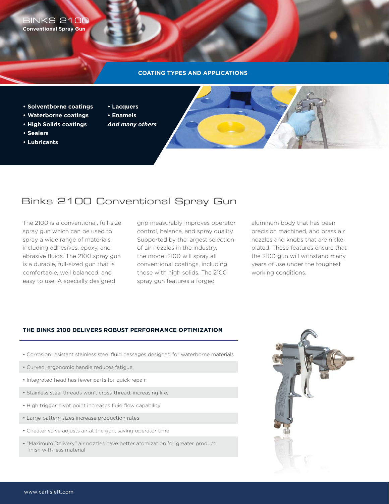BINKS 2100 **Conventional Spray Gun**

#### **COATING TYPES AND APPLICATIONS**

- **Solventborne coatings**
- **Waterborne coatings**
- **High Solids coatings**
- **Sealers**
- **Lubricants**
- **Lacquers**
- **Enamels**
- *And many others*



# Binks 2100 Conventional Spray Gun

The 2100 is a conventional, full-size spray gun which can be used to spray a wide range of materials including adhesives, epoxy, and abrasive fluids. The 2100 spray gun is a durable, full-sized gun that is comfortable, well balanced, and easy to use. A specially designed

grip measurably improves operator control, balance, and spray quality. Supported by the largest selection of air nozzles in the industry, the model 2100 will spray all conventional coatings, including those with high solids. The 2100 spray gun features a forged

aluminum body that has been precision machined, and brass air nozzles and knobs that are nickel plated. These features ensure that the 2100 gun will withstand many years of use under the toughest working conditions.

### **THE BINKS 2100 DELIVERS ROBUST PERFORMANCE OPTIMIZATION**

- Corrosion resistant stainless steel fluid passages designed for waterborne materials
- Curved, ergonomic handle reduces fatigue
- Integrated head has fewer parts for quick repair
- Stainless steel threads won't cross-thread, increasing life.
- High trigger pivot point increases fluid flow capability
- Large pattern sizes increase production rates
- Cheater valve adjusts air at the gun, saving operator time
- "Maximum Delivery" air nozzles have better atomization for greater product finish with less material